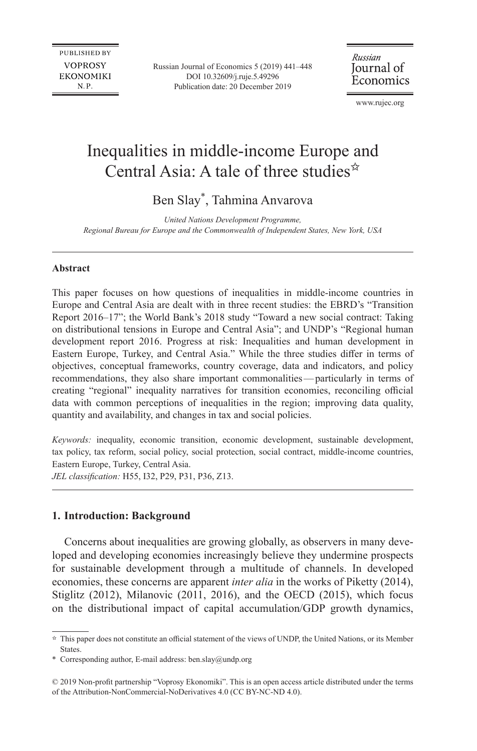**PUBLISHED BY VOPROSY EKONOMIKI** N.P.

Russian Journal of Economics 5 (2019) 441–448 DOI [10.32609/j.ruje.5.49296](http://doi.org/10.32609/j.ruje.5.49296) Publication date: 20 December 2019

Russian Journal of Economics

www.rujec.org

# Inequalities in middle-income Europe and Central Asia: A tale of three studies $\hat{z}$

# Ben Slay\*, Tahmina Anvarova

*United Nations Development Programme, Regional Bureau for Europe and the Commonwealth of Independent States, New York, USA*

## **Abstract**

This paper focuses on how questions of inequalities in middle-income countries in Europe and Central Asia are dealt with in three recent studies: the EBRD's "Transition Report 2016–17"; the World Bank's 2018 study "Toward a new social contract: Taking on distributional tensions in Europe and Central Asia"; and UNDP's "Regional human development report 2016. Progress at risk: Inequalities and human development in Eastern Europe, Turkey, and Central Asia." While the three studies differ in terms of objectives, conceptual frameworks, country coverage, data and indicators, and policy recommendations, they also share important commonalities—particularly in terms of creating "regional" inequality narratives for transition economies, reconciling official data with common perceptions of inequalities in the region; improving data quality, quantity and availability, and changes in tax and social policies.

*Keywords:* inequality, economic transition, economic development, sustainable development, tax policy, tax reform, social policy, social protection, social contract, middle-income countries, Eastern Europe, Turkey, Central Asia.

*JEL classification:* H55, I32, P29, P31, P36, Z13.

### **1. Introduction: Background**

Concerns about inequalities are growing globally, as observers in many developed and developing economies increasingly believe they undermine prospects for sustainable development through a multitude of channels. In developed economies, these concerns are apparent *inter alia* in the works of Piketty (2014), Stiglitz (2012), Milanovic (2011, 2016), and the OECD (2015), which focus on the distributional impact of capital accumulation/GDP growth dynamics,

 $\hat{P}$  This paper does not constitute an official statement of the views of UNDP, the United Nations, or its Member States.

<sup>\*</sup> Corresponding author, E-mail address: [ben.slay@undp.org](mailto:ben.slay@undp.org)

<sup>© 2019</sup> Non-profit partnership "Voprosy Ekonomiki". This is an open access article distributed under the terms of the [Attribution-NonCommercial-NoDerivatives 4.0 \(CC BY-NC-ND 4.0\)](http://creativecommons.org/licenses/by-nc-nd/4.0/).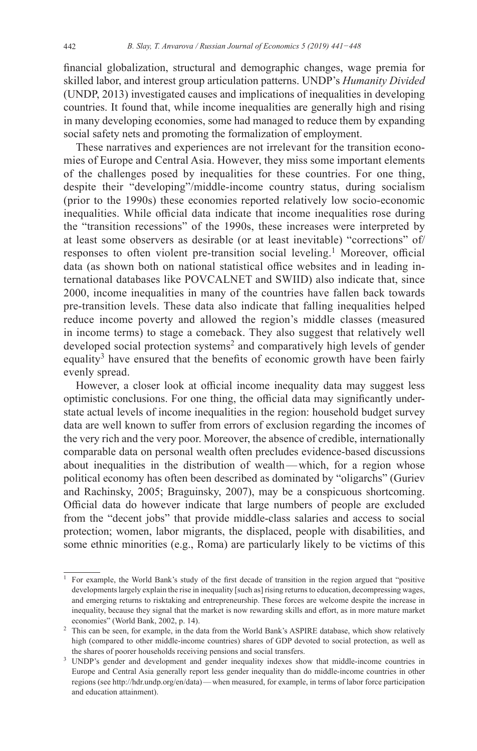financial globalization, structural and demographic changes, wage premia for skilled labor, and interest group articulation patterns. UNDP's *Humanity Divided* (UNDP, 2013) investigated causes and implications of inequalities in developing countries. It found that, while income inequalities are generally high and rising in many developing economies, some had managed to reduce them by expanding social safety nets and promoting the formalization of employment.

These narratives and experiences are not irrelevant for the transition economies of Europe and Central Asia. However, they miss some important elements of the challenges posed by inequalities for these countries. For one thing, despite their "developing"/middle-income country status, during socialism (prior to the 1990s) these economies reported relatively low socio-economic inequalities. While official data indicate that income inequalities rose during the "transition recessions" of the 1990s, these increases were interpreted by at least some observers as desirable (or at least inevitable) "corrections" of/ responses to often violent pre-transition social leveling.<sup>1</sup> Moreover, official data (as shown both on national statistical office websites and in leading international databases like POVCALNET and SWIID) also indicate that, since 2000, income inequalities in many of the countries have fallen back towards pre-transition levels. These data also indicate that falling inequalities helped reduce income poverty and allowed the region's middle classes (measured in income terms) to stage a comeback. They also suggest that relatively well developed social protection systems<sup>2</sup> and comparatively high levels of gender equality<sup>3</sup> have ensured that the benefits of economic growth have been fairly evenly spread.

However, a closer look at official income inequality data may suggest less optimistic conclusions. For one thing, the official data may significantly understate actual levels of income inequalities in the region: household budget survey data are well known to suffer from errors of exclusion regarding the incomes of the very rich and the very poor. Moreover, the absence of credible, internationally comparable data on personal wealth often precludes evidence-based discussions about inequalities in the distribution of wealth—which, for a region whose political economy has often been described as dominated by "oligarchs" (Guriev and Rachinsky, 2005; Braguinsky, 2007), may be a conspicuous shortcoming. Official data do however indicate that large numbers of people are excluded from the "decent jobs" that provide middle-class salaries and access to social protection; women, labor migrants, the displaced, people with disabilities, and some ethnic minorities (e.g., Roma) are particularly likely to be victims of this

<sup>1</sup> For example, the World Bank's study of the first decade of transition in the region argued that "positive developments largely explain the rise in inequality [such as] rising returns to education, decompressing wages, and emerging returns to risktaking and entrepreneurship. These forces are welcome despite the increase in inequality, because they signal that the market is now rewarding skills and effort, as in more mature market economies" (World Bank, 2002, p. 14).

<sup>&</sup>lt;sup>2</sup> This can be seen, for example, in the data from the World Bank's ASPIRE database, which show relatively high (compared to other middle-income countries) shares of GDP devoted to social protection, as well as the shares of poorer households receiving pensions and social transfers.<br><sup>3</sup> UNDP's gender and development and gender inequality indexes show that middle-income countries in

Europe and Central Asia generally report less gender inequality than do middle-income countries in other regions (see [http://hdr.undp.org/en/data\)](http://hdr.undp.org/en/data)—when measured, for example, in terms of labor force participation and education attainment).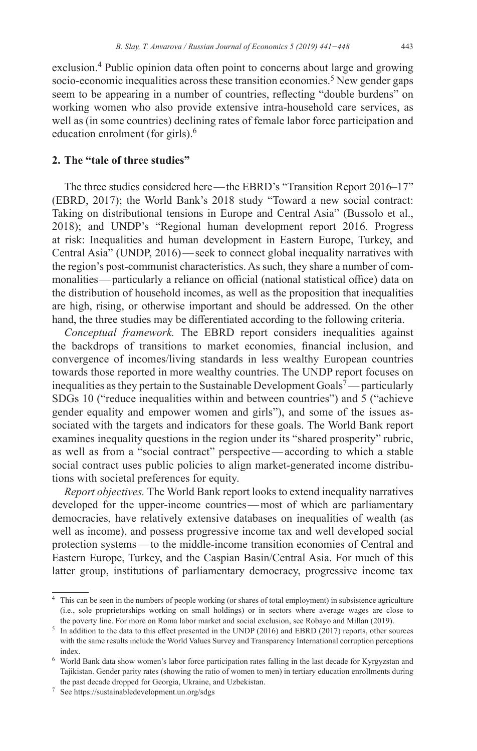exclusion.<sup>4</sup> Public opinion data often point to concerns about large and growing socio-economic inequalities across these transition economies.<sup>5</sup> New gender gaps seem to be appearing in a number of countries, reflecting "double burdens" on working women who also provide extensive intra-household care services, as well as (in some countries) declining rates of female labor force participation and education enrolment (for girls).<sup>6</sup>

## **2. The "tale of three studies"**

The three studies considered here—the EBRD's "Transition Report 2016–17" (EBRD, 2017); the World Bank's 2018 study "Toward a new social contract: Taking on distributional tensions in Europe and Central Asia" (Bussolo et al., 2018); and UNDP's "Regional human development report 2016. Progress at risk: Inequalities and human development in Eastern Europe, Turkey, and Central Asia" (UNDP, 2016)—seek to connect global inequality narratives with the region's post-communist characteristics. As such, they share a number of commonalities—particularly a reliance on official (national statistical office) data on the distribution of household incomes, as well as the proposition that inequalities are high, rising, or otherwise important and should be addressed. On the other hand, the three studies may be differentiated according to the following criteria.

*Conceptual framework.* The EBRD report considers inequalities against the backdrops of transitions to market economies, financial inclusion, and convergence of incomes/living standards in less wealthy European countries towards those reported in more wealthy countries. The UNDP report focuses on inequalities as they pertain to the Sustainable Development Goals<sup>7</sup>—particularly SDGs 10 ("reduce inequalities within and between countries") and 5 ("achieve gender equality and empower women and girls"), and some of the issues associated with the targets and indicators for these goals. The World Bank report examines inequality questions in the region under its "shared prosperity" rubric, as well as from a "social contract" perspective—according to which a stable social contract uses public policies to align market-generated income distributions with societal preferences for equity.

*Report objectives.* The World Bank report looks to extend inequality narratives developed for the upper-income countries—most of which are parliamentary democracies, have relatively extensive databases on inequalities of wealth (as well as income), and possess progressive income tax and well developed social protection systems—to the middle-income transition economies of Central and Eastern Europe, Turkey, and the Caspian Basin/Central Asia. For much of this latter group, institutions of parliamentary democracy, progressive income tax

<sup>4</sup> This can be seen in the numbers of people working (or shares of total employment) in subsistence agriculture (i.e., sole proprietorships working on small holdings) or in sectors where average wages are close to the poverty line. For more on Roma labor market and social exclusion, see Robayo and Millan (2019).<br><sup>5</sup> In addition to the data to this effect presented in the UNDP (2016) and EBRD (2017) reports, other sources

with the same results include the World Values Survey and Transparency International corruption perceptions index. 6 World Bank data show women's labor force participation rates falling in the last decade for Kyrgyzstan and

Tajikistan. Gender parity rates (showing the ratio of women to men) in tertiary education enrollments during the past decade dropped for Georgia, Ukraine, and Uzbekistan.

<sup>7</sup> See <https://sustainabledevelopment.un.org/sdgs>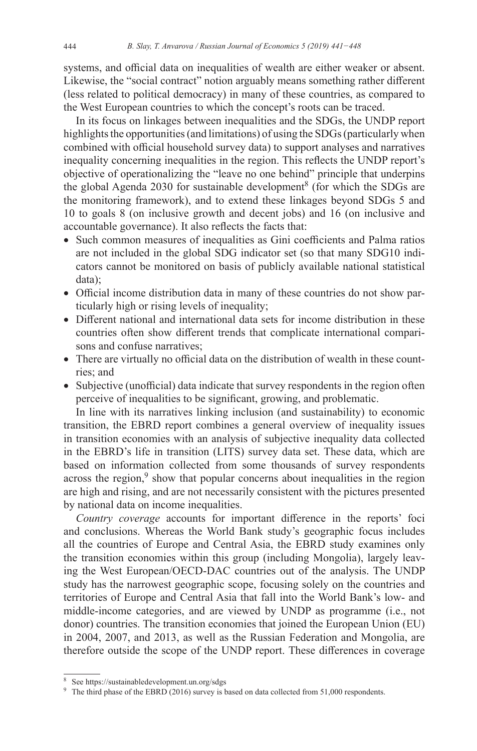systems, and official data on inequalities of wealth are either weaker or absent. Likewise, the "social contract" notion arguably means something rather different (less related to political democracy) in many of these countries, as compared to the West European countries to which the concept's roots can be traced.

In its focus on linkages between inequalities and the SDGs, the UNDP report highlights the opportunities (and limitations) of using the SDGs (particularly when combined with official household survey data) to support analyses and narratives inequality concerning inequalities in the region. This reflects the UNDP report's objective of operationalizing the "leave no one behind" principle that underpins the global Agenda 2030 for sustainable development<sup>8</sup> (for which the SDGs are the monitoring framework), and to extend these linkages beyond SDGs 5 and 10 to goals 8 (on inclusive growth and decent jobs) and 16 (on inclusive and accountable governance). It also reflects the facts that:

- Such common measures of inequalities as Gini coefficients and Palma ratios are not included in the global SDG indicator set (so that many SDG10 indicators cannot be monitored on basis of publicly available national statistical data);
- Official income distribution data in many of these countries do not show particularly high or rising levels of inequality;
- Different national and international data sets for income distribution in these countries often show different trends that complicate international comparisons and confuse narratives;
- There are virtually no official data on the distribution of wealth in these countries; and
- Subjective (unofficial) data indicate that survey respondents in the region often perceive of inequalities to be significant, growing, and problematic.

In line with its narratives linking inclusion (and sustainability) to economic transition, the EBRD report combines a general overview of inequality issues in transition economies with an analysis of subjective inequality data collected in the EBRD's life in transition (LITS) survey data set. These data, which are based on information collected from some thousands of survey respondents across the region,<sup>9</sup> show that popular concerns about inequalities in the region are high and rising, and are not necessarily consistent with the pictures presented by national data on income inequalities.

*Country coverage* accounts for important difference in the reports' foci and conclusions. Whereas the World Bank study's geographic focus includes all the countries of Europe and Central Asia, the EBRD study examines only the transition economies within this group (including Mongolia), largely leaving the West European/OECD-DAC countries out of the analysis. The UNDP study has the narrowest geographic scope, focusing solely on the countries and territories of Europe and Central Asia that fall into the World Bank's low- and middle-income categories, and are viewed by UNDP as programme (i.e., not donor) countries. The transition economies that joined the European Union (EU) in 2004, 2007, and 2013, as well as the Russian Federation and Mongolia, are therefore outside the scope of the UNDP report. These differences in coverage

<sup>8</sup> See <https://sustainabledevelopment.un.org/sdgs>

 $9\text{ The third phase of the EBRD (2016) survey is based on data collected from 51,000 respondents.}$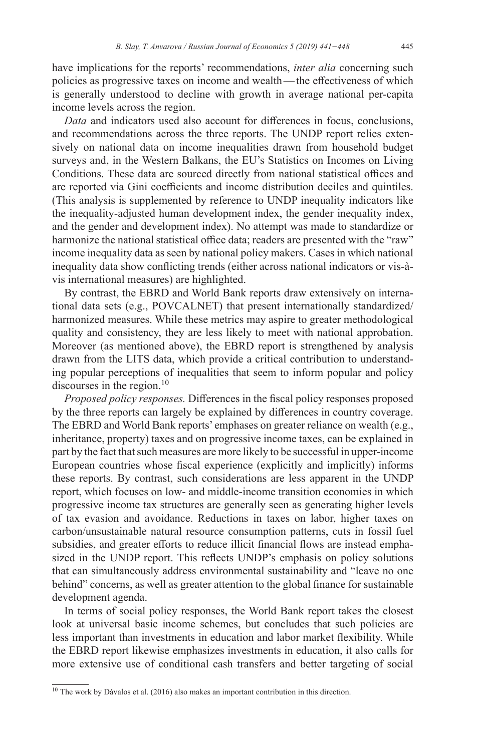have implications for the reports' recommendations, *inter alia* concerning such policies as progressive taxes on income and wealth—the effectiveness of which is generally understood to decline with growth in average national per-capita income levels across the region.

*Data* and indicators used also account for differences in focus, conclusions, and recommendations across the three reports. The UNDP report relies extensively on national data on income inequalities drawn from household budget surveys and, in the Western Balkans, the EU's Statistics on Incomes on Living Conditions. These data are sourced directly from national statistical offices and are reported via Gini coefficients and income distribution deciles and quintiles. (This analysis is supplemented by reference to UNDP inequality indicators like the inequality-adjusted human development index, the gender inequality index, and the gender and development index). No attempt was made to standardize or harmonize the national statistical office data; readers are presented with the "raw" income inequality data as seen by national policy makers. Cases in which national inequality data show conflicting trends (either across national indicators or vis-àvis international measures) are highlighted.

By contrast, the EBRD and World Bank reports draw extensively on international data sets (e.g., POVCALNET) that present internationally standardized/ harmonized measures. While these metrics may aspire to greater methodological quality and consistency, they are less likely to meet with national approbation. Moreover (as mentioned above), the EBRD report is strengthened by analysis drawn from the LITS data, which provide a critical contribution to understanding popular perceptions of inequalities that seem to inform popular and policy discourses in the region. $10$ 

*Proposed policy responses.* Differences in the fiscal policy responses proposed by the three reports can largely be explained by differences in country coverage. The EBRD and World Bank reports' emphases on greater reliance on wealth (e.g., inheritance, property) taxes and on progressive income taxes, can be explained in part by the fact that such measures are more likely to be successful in upper-income European countries whose fiscal experience (explicitly and implicitly) informs these reports. By contrast, such considerations are less apparent in the UNDP report, which focuses on low- and middle-income transition economies in which progressive income tax structures are generally seen as generating higher levels of tax evasion and avoidance. Reductions in taxes on labor, higher taxes on carbon/unsustainable natural resource consumption patterns, cuts in fossil fuel subsidies, and greater efforts to reduce illicit financial flows are instead emphasized in the UNDP report. This reflects UNDP's emphasis on policy solutions that can simultaneously address environmental sustainability and "leave no one behind" concerns, as well as greater attention to the global finance for sustainable development agenda.

In terms of social policy responses, the World Bank report takes the closest look at universal basic income schemes, but concludes that such policies are less important than investments in education and labor market flexibility. While the EBRD report likewise emphasizes investments in education, it also calls for more extensive use of conditional cash transfers and better targeting of social

<sup>&</sup>lt;sup>10</sup> The work by Dávalos et al. (2016) also makes an important contribution in this direction.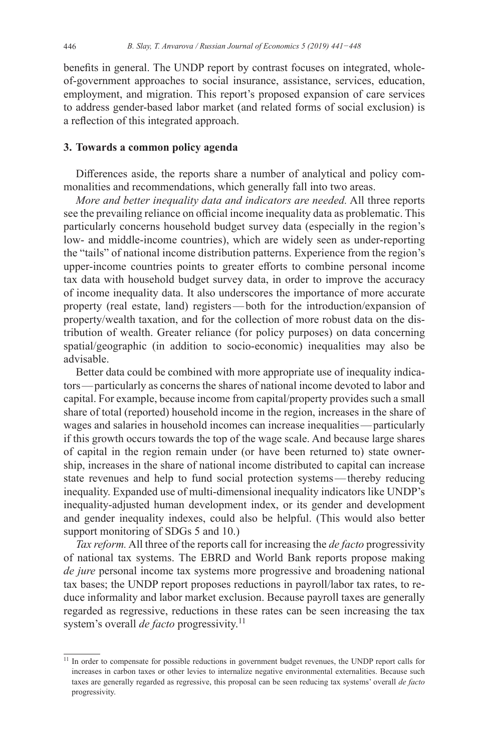benefits in general. The UNDP report by contrast focuses on integrated, wholeof-government approaches to social insurance, assistance, services, education, employment, and migration. This report's proposed expansion of care services to address gender-based labor market (and related forms of social exclusion) is a reflection of this integrated approach.

#### **3. Towards a common policy agenda**

Differences aside, the reports share a number of analytical and policy commonalities and recommendations, which generally fall into two areas.

*More and better inequality data and indicators are needed.* All three reports see the prevailing reliance on official income inequality data as problematic. This particularly concerns household budget survey data (especially in the region's low- and middle-income countries), which are widely seen as under-reporting the "tails" of national income distribution patterns. Experience from the region's upper-income countries points to greater efforts to combine personal income tax data with household budget survey data, in order to improve the accuracy of income inequality data. It also underscores the importance of more accurate property (real estate, land) registers—both for the introduction/expansion of property/wealth taxation, and for the collection of more robust data on the distribution of wealth. Greater reliance (for policy purposes) on data concerning spatial/geographic (in addition to socio-economic) inequalities may also be advisable.

Better data could be combined with more appropriate use of inequality indicators—particularly as concerns the shares of national income devoted to labor and capital. For example, because income from capital/property provides such a small share of total (reported) household income in the region, increases in the share of wages and salaries in household incomes can increase inequalities—particularly if this growth occurs towards the top of the wage scale. And because large shares of capital in the region remain under (or have been returned to) state ownership, increases in the share of national income distributed to capital can increase state revenues and help to fund social protection systems—thereby reducing inequality. Expanded use of multi-dimensional inequality indicators like UNDP's inequality-adjusted human development index, or its gender and development and gender inequality indexes, could also be helpful. (This would also better support monitoring of SDGs 5 and 10.)

*Tax reform.* All three of the reports call for increasing the *de facto* progressivity of national tax systems. The EBRD and World Bank reports propose making *de jure* personal income tax systems more progressive and broadening national tax bases; the UNDP report proposes reductions in payroll/labor tax rates, to reduce informality and labor market exclusion. Because payroll taxes are generally regarded as regressive, reductions in these rates can be seen increasing the tax system's overall *de facto* progressivity.<sup>11</sup>

<sup>&</sup>lt;sup>11</sup> In order to compensate for possible reductions in government budget revenues, the UNDP report calls for increases in carbon taxes or other levies to internalize negative environmental externalities. Because such taxes are generally regarded as regressive, this proposal can be seen reducing tax systems' overall *de facto*  progressivity.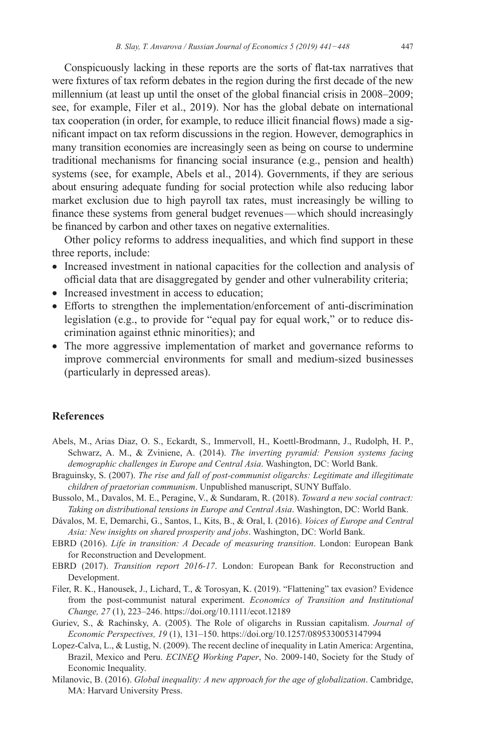Conspicuously lacking in these reports are the sorts of flat-tax narratives that were fixtures of tax reform debates in the region during the first decade of the new millennium (at least up until the onset of the global financial crisis in 2008–2009; see, for example, Filer et al., 2019). Nor has the global debate on international tax cooperation (in order, for example, to reduce illicit financial flows) made a significant impact on tax reform discussions in the region. However, demographics in many transition economies are increasingly seen as being on course to undermine traditional mechanisms for financing social insurance (e.g., pension and health) systems (see, for example, Abels et al., 2014). Governments, if they are serious about ensuring adequate funding for social protection while also reducing labor market exclusion due to high payroll tax rates, must increasingly be willing to finance these systems from general budget revenues—which should increasingly be financed by carbon and other taxes on negative externalities.

Other policy reforms to address inequalities, and which find support in these three reports, include:

- Increased investment in national capacities for the collection and analysis of official data that are disaggregated by gender and other vulnerability criteria;
- Increased investment in access to education;
- Efforts to strengthen the implementation/enforcement of anti-discrimination legislation (e.g., to provide for "equal pay for equal work," or to reduce discrimination against ethnic minorities); and
- The more aggressive implementation of market and governance reforms to improve commercial environments for small and medium-sized businesses (particularly in depressed areas).

#### **References**

- Abels, M., Arias Diaz, O. S., Eckardt, S., Immervoll, H., Koettl-Brodmann, J., Rudolph, H. P., Schwarz, A. M., & Zviniene, A. (2014). *The inverting pyramid: Pension systems facing demographic challenges in Europe and Central Asia*. Washington, DC: World Bank.
- Braguinsky, S. (2007). *The rise and fall of post-communist oligarchs: Legitimate and illegitimate children of praetorian communism*. Unpublished manuscript, SUNY Buffalo.
- Bussolo, M., Davalos, M. E., Peragine, V., & Sundaram, R. (2018). *Toward a new social contract: Taking on distributional tensions in Europe and Central Asia*. Washington, DC: World Bank.
- Dávalos, M. E, Demarchi, G., Santos, I., Kits, B., & Oral, I. (2016). *Voices of Europe and Central Asia: New insights on shared prosperity and jobs*. Washington, DC: World Bank.
- EBRD (2016). *Life in transition: A Decade of measuring transition*. London: European Bank for Reconstruction and Development.
- EBRD (2017). *Transition report 2016-17*. London: European Bank for Reconstruction and Development.
- Filer, R. K., Hanousek, J., Lichard, T., & Torosyan, K. (2019). "Flattening" tax evasion? Evidence from the post-communist natural experiment. *Economics of Transition and Institutional Change, 27* (1), 223–246.<https://doi.org/10.1111/ecot.12189>
- Guriev, S., & Rachinsky, A. (2005). The Role of oligarchs in Russian capitalism. *Journal of Economic Perspectives, 19* (1), 131–150.<https://doi.org/10.1257/0895330053147994>
- Lopez-Calva, L., & Lustig, N. (2009). The recent decline of inequality in Latin America: Argentina, Brazil, Mexico and Peru. *ECINEQ Working Paper*, No. 2009-140, Society for the Study of Economic Inequality.
- Milanovic, B. (2016). *Global inequality: A new approach for the age of globalization*. Cambridge, MA: Harvard University Press.